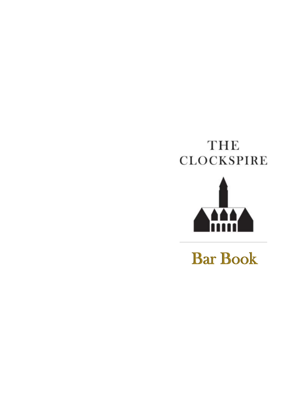# **THE CLOCKSPIRE**



Bar Book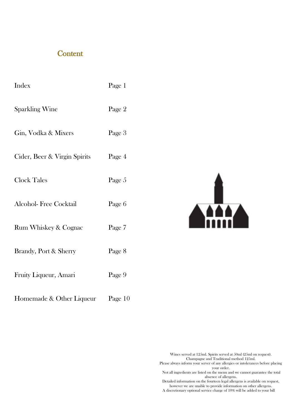#### **Content**

| Index                            | Page 1  |
|----------------------------------|---------|
| <b>Sparkling Wine</b>            | Page 2  |
| Gin, Vodka & Mixers              | Page 3  |
| Cider, Beer & Virgin Spirits     | Page 4  |
| <b>Clock Tales</b>               | Page 5  |
| <b>Alcohol-Free Cocktail</b>     | Page 6  |
| <b>Rum Whiskey &amp; Cognac</b>  | Page 7  |
| <b>Brandy, Port &amp; Sherry</b> | Page 8  |
| Fruity Liqueur, Amari            | Page 9  |
| Homemade & Other Liqueur         | Page 10 |



Wines served at 125ml. Spirits served at 50ml (25ml on request). Champagne and Traditional method 125ml. Please always inform your server of any allergies or intolerances before placing your order.

Not all ingredients are listed on the menu and we cannot guarantee the total absence of allergens.

Detailed information on the fourteen legal allergens is available on request, however we are unable to provide information on other allergens. A discretionary optional service charge of 10% will be added to your bill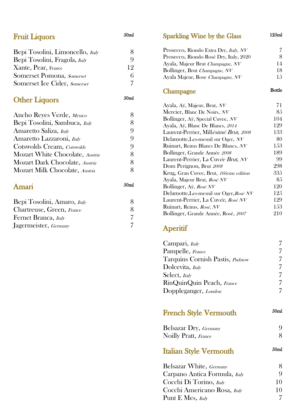| <b>Fruit Liquors</b>             | 50 <sub>ml</sub> | <b>Sparkling Wine by the Glass</b>                                   | 125ml          |
|----------------------------------|------------------|----------------------------------------------------------------------|----------------|
| Bepi Tosolini, Limoncello, Italy | 8                | Prosecco, Riondo Extra Dry, Italy, NV                                | $\overline{7}$ |
| Bepi Tosolini, Fragola, Italy    | 9                | Prosecco, Riondo Rosé Dry, Italy, 2020                               | 8              |
| Xante, Pear, France              | 12               | Ayala, Majeur Brut Champagne, NV                                     | 14             |
| Somerset Pomona, Somerset        | 6                | Bollinger, Brut Champagne, NV                                        | 18             |
|                                  | 7                | Ayala Majeur, Rose Champagne, NV                                     | 15             |
| Somerset Ice Cider, Somerset     |                  |                                                                      | <b>Bottle</b>  |
|                                  |                  | Champagne                                                            |                |
| <b>Other Liquors</b>             | 50 <sub>ml</sub> |                                                                      |                |
|                                  |                  | Ayala, Aÿ, Majeur, Brut, NV                                          | 71<br>85       |
| Ancho Reyes Verde, Mexico        | 8                | Mercier, Blanc De Noirs, NV                                          | 104            |
| Bepi Tosolini, Sambuca, Italy    | 8                | Bollinger, Aÿ, Special Cuvee, NV<br>Ayala, Aÿ, Blanc De Blancs, 2014 | 129            |
| Amaretto Saliza, Italy           | 9                | Laurent-Perrier, Millésimé Brut, 2008                                | 133            |
| Amaretto Lazzaroni, Italy        | 9                | Delamotte, Les-mesnil sur Oger, NV                                   | 80             |
| Cotswolds Cream, Cotswolds       | 9                | Ruinart, Reims Blancs De Blancs, NV                                  | 153            |
|                                  | 8                | Bollinger, Grande Année 2008                                         | 189            |
| Mozart White Chocolate, Austria  |                  | Laurent-Perrier, La Cuvée Brut, NV                                   | 99             |
| Mozart Dark Chocolate, Austria   | 8                | Dom Perignon, Brut 2008                                              | 298            |
| Mozart Milk Chocolate, Austria   | 8                | Krug, Gran Cuvee, Brut, 166eme edition                               | 335            |
|                                  |                  | Ayala, Majeur Brut, Rosé NV                                          | 85             |
| Amari                            | 50 <sub>ml</sub> | Bollinger, Aÿ, Rosé NV                                               | 120            |
|                                  |                  | Delamotte, Les-mesnil sur Oger, Rosé NV                              | 125            |
| Bepi Tosolini, Amaro, Italy      | 8                | Laurent-Perrier, La Cuvée, Rosé NV                                   | 129            |
| Chartreuse, Green, France        | 8                | Ruinart, Reims, Rosé, NV                                             | 153            |
| Fernet Branca, Italy             | 7                | Bollinger, Grande Année, Rosé, 2007                                  | 210            |
|                                  | $\overline{7}$   |                                                                      |                |
| Jagermeister, Germany            |                  | Aperitif                                                             |                |

| Campari, Italy                   |                  |
|----------------------------------|------------------|
| Pampelle, France                 |                  |
| Tarquins Cornish Pastis, Padstow | 7                |
| Dolcevita, Italy                 | 7                |
| Select, Italy                    | 7                |
| RinQuinQuin Peach, France        | 7                |
| Doppleganger, London             | 7                |
| <b>French Style Vermouth</b>     | 50 <sub>ml</sub> |
| Belsazar Dry, Germany            | 9                |
| Noilly Pratt, France             | 8                |
| Italian Style Vermouth           | 50 <sub>ml</sub> |
| Belsazar White, Germany          | 8                |
| Carpano Antica Formula, Italy    | 9                |
| Cocchi Di Torino, Italy          | 10               |
| Cocchi Americano Rosa, Italy     | 10               |
| Punt E Mes, Italy                | 7                |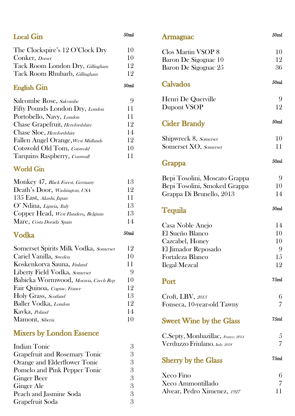| <b>Local Gin</b>                        | 50 <sub>ml</sub> |  |
|-----------------------------------------|------------------|--|
| The Clockspire's 12 O'Clock Dry         | 10               |  |
| Conker, Dorset                          | 10               |  |
| Tack Room London Dry, <i>Gillingham</i> | 12               |  |
| Tack Room Rhubarb, <i>Gillingham</i>    | 12               |  |
| <b>English Gin</b>                      | 50 <sub>ml</sub> |  |
| Salcombe Rose, Salcombe                 | 9                |  |
| Fifty Pounds London Dry, London         | 11               |  |
| Portobello, Navy, London                | 11               |  |
| Chase Grapefruit, Herefordshire         | 12               |  |
| Chase Sloe, Herefordshire               | 14               |  |
| Fallen Angel Orange, West Midlands      | 12               |  |
| Cotswold Old Tom, Cotswold              | 10               |  |
| Tarquins Raspberry, Cornwall            | 11               |  |
| <b>World Gin</b>                        |                  |  |
| Monkey 47, Black Forest, Germany        | 13               |  |
| Death's Door, Washington, USA           | 12               |  |
| 135 East, Akashi, Japan                 | 11               |  |
| O' Ndina, Liguria, Italy                | 13               |  |
| Copper Head, West Flanders, Belgium     | 13               |  |
| Mare, Costa Dorada Spain                | 14               |  |
| Vodka                                   | 50 <sub>ml</sub> |  |
| Somerset Spirits Milk Vodka, Somerset   | 12               |  |
| Cariel Vanilla, Sweden                  | 10               |  |
| Koskenkorva Sauna, Finland              | 11               |  |
| Liberty Field Vodka, Somerset           | 9                |  |
| Babicka Wormwood, Moravia, Czech Rep    | 10               |  |
| Fair Quinoa, Cognac, France             | 12               |  |
| Holy Grass, Scotland                    | 13               |  |
| <b>Baller Vodka</b> , London            | 12               |  |
| Kavka, Poland                           | 14               |  |
| Mamont, <i>Siberia</i>                  | 10               |  |
| <b>Mixers by London Essence</b>         |                  |  |
| <b>Indian Tonic</b>                     | 3                |  |
| <b>Grapefruit and Rosemary Tonic</b>    | 3                |  |
| Orange and Elderflower Tonic            | 3                |  |
| Pomelo and Pink Pepper Tonic            | 3                |  |
| Ginger Beer                             | 3                |  |

| Orange and Eldertiower Tome  |   |
|------------------------------|---|
| Pomelo and Pink Pepper Tonic | 3 |
| <b>Ginger Beer</b>           | 3 |
| Ginger Ale                   | З |
| Peach and Jasmine Soda       | 3 |
| Grapefruit Soda              | Я |
|                              |   |

# Armagnac

| Clos Martin VSOP 8                 | 10               |
|------------------------------------|------------------|
| Baron De Sigognac 10               | 12               |
| Baron De Sigognac 25               | 36               |
| Calvados                           | 50 <sub>ml</sub> |
| Henri De Querville                 | 9                |
| Dupont VSOP                        | 12               |
| <b>Cider Brandy</b>                | 50 <sub>ml</sub> |
| Shipwreck 8, Somerset              | 10               |
| Somerset XO, Somerset              | 11               |
| <b>Grappa</b>                      | 50 <sub>ml</sub> |
| Bepi Tosolini, Moscato Grappa      | 9                |
| Bepi Tosolini, Smoked Grappa       | 10               |
| Grappa Di Brunello, 2013           | 14               |
| Tequila                            | 50 <sub>ml</sub> |
| Casa Noble Anejo                   | 14               |
| El Sueño Blanco                    | 10               |
| Cazcabel, Honey                    | 10               |
| El Jimador Reposado                | 9                |
| Fortaleza Blanco                   | 15               |
| Ilegal Mezcal                      | 12               |
| Port                               | 75ml             |
| Croft, LBV, 2013                   | 6                |
| Fonseca, 10-year-old Tawny         | 7                |
| <b>Sweet Wine by the Glass</b>     | 75 <sub>ml</sub> |
| C.Septy, Monbazillac, France, 2014 | 5                |
| Verduzzo Friulano, Italy, 2018     | 7                |
| <b>Sherry by the Glass</b>         | 75 <sub>ml</sub> |
| Xeco Fino                          | 6                |
| Xeco Ammontillado                  | 7                |
| Alvear, Pedro Ximenez, 1927        | 11               |

50ml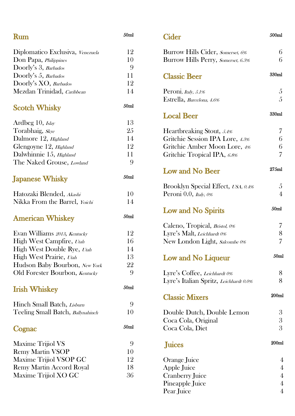| <b>Rum</b>                        | $50\mathrm{ml}$  |
|-----------------------------------|------------------|
| Diplomatico Exclusiva, Venezuela  | 12               |
| Don Papa, Philippines             | 10               |
| Doorly's 3, Barbados              | 9                |
| Doorly's 5, Barbados              | 11               |
| Doorly's XO, Barbados             | 12               |
| Mezdan Trinidad, Caribbean        | 14               |
| <b>Scotch Whisky</b>              | 50 <sub>ml</sub> |
| Ardbeg 10, Islay                  | 13               |
| Torabhaig, <i>Skye</i>            | 25               |
| Dalmore 12, <i>Highland</i>       | 14               |
| Glengoyne 12, <i>Highland</i>     | 12               |
| Dalwhinnie 15, Highland           | 11               |
| The Naked Grouse, Lowland         | 9                |
| <b>Japanese Whisky</b>            | 50 <sub>ml</sub> |
| Hatozaki Blended, Akashi          | 10               |
| Nikka From the Barrel, Yoichi     | 14               |
| <b>American Whiskey</b>           | 50 <sub>ml</sub> |
| Evan Williams 2013, Kentucky      | 12               |
| High West Campfire, Utah          | 16               |
| High West Double Rye, Utah        | 14               |
| High West Prairie, Utah           | 13               |
| Hudson Baby Bourbon, New York     | 22               |
| Old Forester Bourbon, Kentucky    | 9                |
| <b>Irish Whiskey</b>              | 50 <sub>ml</sub> |
| Hinch Small Batch, Lisburn        | 9                |
| Teeling Small Batch, Ballynahinch | 10               |
| Cognac                            | 50 <sub>ml</sub> |
| Maxime Trijiol VS                 | 9                |
| <b>Remy Martin VSOP</b>           | 10               |
| Maxime Trijiol VSOP GC            | 12               |
| <b>Remy Martin Accord Royal</b>   | 18               |
| Maxime Trijiol XO GC              | 36               |
|                                   |                  |

# **Cider**  500ml Burrow Hills Cider, Somerset, 6% 6 Burrow Hills Perry, Somerset, 6.3% 6 Classic Beer 330ml Peroni, *Italy*,  $5.1\%$  5 Estrella, *Barcelona*, 4.6% 5 Local Beer 330ml Heartbreaking Stout, 5.4% Gritchie Session IPA Lore, 4.3% 6 Gritchie Amber Moon Lore, 4% 6 Gritchie Tropical IPA, 6.8% 7 Low and No Beer 275ml Brooklyn Special Effect, USA, 0.4% 5 Peroni  $0.0$ , *Italy*,  $0\%$  4 Low and No Spirits 50ml Caleno, Tropical, *Bristol, 0%* 7 Lyre's Malt, Leichhardt 0% 8 New London Light, Salcombe 0% 7 Low and No Liqueur 50ml Lyre's Coffee, Leichhardt 0% 8 Lyre's Italian Spritz, Leichhardt 0.0% 8 Classic Mixers 200ml Double Dutch, Double Lemon 3 Coca Cola, Original 3 Coca Cola, Diet 3 Juices 200ml Orange Juice 4 Apple Juice 4 Cranberry Juice 4 Pineapple Juice 4

Pear Juice 4